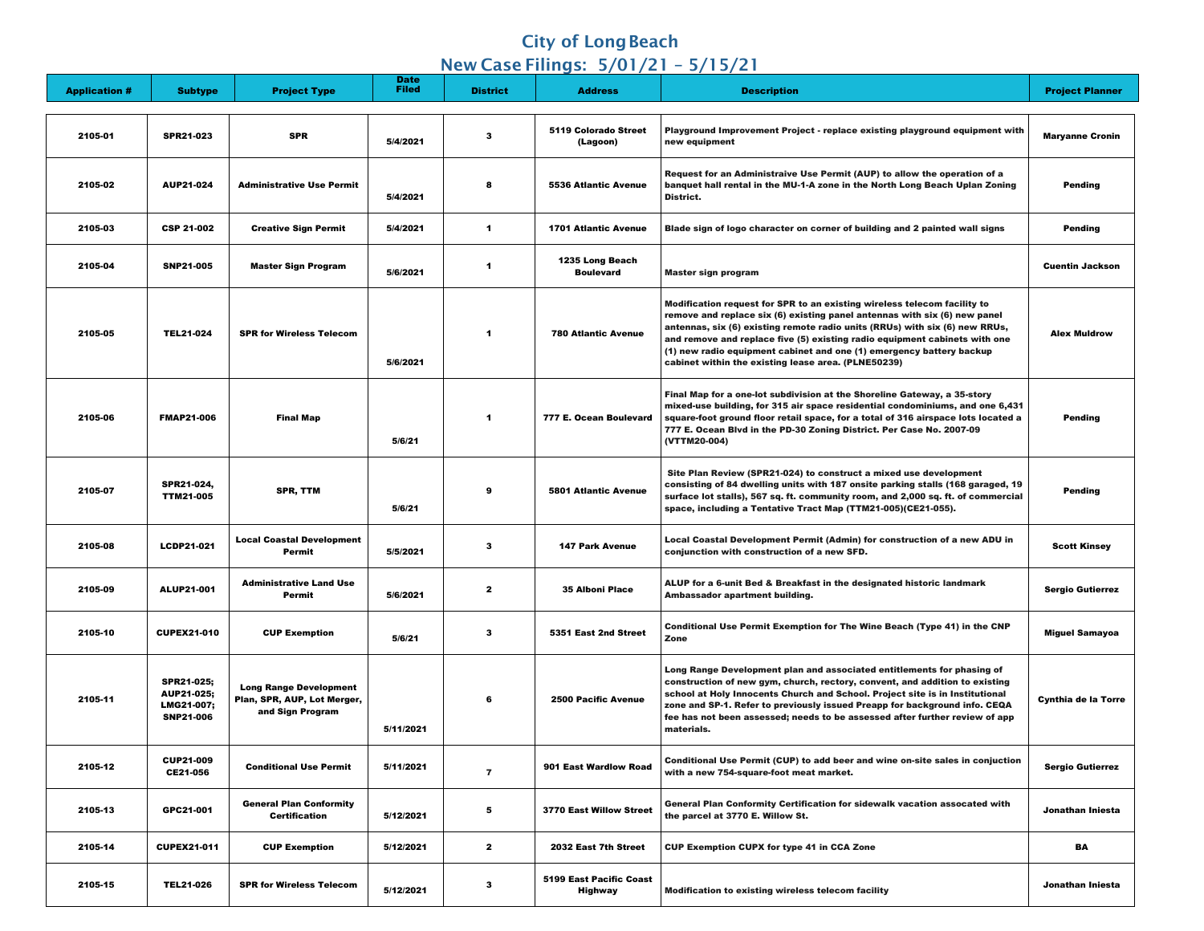## **City of Long Beach**

## New Case Filings: 5/01/21 – 5/15/21

| <b>Application #</b> | <b>Subtype</b>                                                    | <b>Project Type</b>                                                              | <b>Date</b><br><b>Filed</b> | <b>District</b> | <b>Address</b>                                   | <b>Description</b>                                                                                                                                                                                                                                                                                                                                                                                                                                | <b>Project Planner</b>     |
|----------------------|-------------------------------------------------------------------|----------------------------------------------------------------------------------|-----------------------------|-----------------|--------------------------------------------------|---------------------------------------------------------------------------------------------------------------------------------------------------------------------------------------------------------------------------------------------------------------------------------------------------------------------------------------------------------------------------------------------------------------------------------------------------|----------------------------|
| 2105-01              | <b>SPR21-023</b>                                                  | <b>SPR</b>                                                                       | 5/4/2021                    | $\mathbf{3}$    | <b>5119 Colorado Street</b><br>(Lagoon)          | Playground Improvement Project - replace existing playground equipment with<br>new equipment                                                                                                                                                                                                                                                                                                                                                      | <b>Maryanne Cronin</b>     |
| 2105-02              | <b>AUP21-024</b>                                                  | <b>Administrative Use Permit</b>                                                 | 5/4/2021                    | 8               | <b>5536 Atlantic Avenue</b>                      | Request for an Administraive Use Permit (AUP) to allow the operation of a<br>banquet hall rental in the MU-1-A zone in the North Long Beach Uplan Zoning<br>District.                                                                                                                                                                                                                                                                             | <b>Pending</b>             |
| 2105-03              | <b>CSP 21-002</b>                                                 | <b>Creative Sign Permit</b>                                                      | 5/4/2021                    | -1              | <b>1701 Atlantic Avenue</b>                      | Blade sign of logo character on corner of building and 2 painted wall signs                                                                                                                                                                                                                                                                                                                                                                       | <b>Pending</b>             |
| 2105-04              | <b>SNP21-005</b>                                                  | <b>Master Sign Program</b>                                                       | 5/6/2021                    |                 | <b>1235 Long Beach</b><br><b>Boulevard</b>       | <b>Master sign program</b>                                                                                                                                                                                                                                                                                                                                                                                                                        | <b>Cuentin Jackson</b>     |
| 2105-05              | <b>TEL21-024</b>                                                  | <b>SPR for Wireless Telecom</b>                                                  | 5/6/2021                    |                 | <b>780 Atlantic Avenue</b>                       | Modification request for SPR to an existing wireless telecom facility to<br>remove and replace six (6) existing panel antennas with six (6) new panel<br>antennas, six (6) existing remote radio units (RRUs) with six (6) new RRUs,<br>and remove and replace five (5) existing radio equipment cabinets with one<br>(1) new radio equipment cabinet and one (1) emergency battery backup<br>cabinet within the existing lease area. (PLNE50239) | <b>Alex Muldrow</b>        |
| 2105-06              | <b>FMAP21-006</b>                                                 | <b>Final Map</b>                                                                 | 5/6/21                      |                 | 777 E. Ocean Boulevard                           | Final Map for a one-lot subdivision at the Shoreline Gateway, a 35-story<br>mixed-use building, for 315 air space residential condominiums, and one 6,431<br>square-foot ground floor retail space, for a total of 316 airspace lots located a<br>777 E. Ocean Blvd in the PD-30 Zoning District. Per Case No. 2007-09<br>(VTTM20-004)                                                                                                            | <b>Pending</b>             |
| 2105-07              | <b>SPR21-024,</b><br><b>TTM21-005</b>                             | <b>SPR, TTM</b>                                                                  | 5/6/21                      | 9               | <b>5801 Atlantic Avenue</b>                      | Site Plan Review (SPR21-024) to construct a mixed use development<br>consisting of 84 dwelling units with 187 onsite parking stalls (168 garaged, 19<br>surface lot stalls), 567 sq. ft. community room, and 2,000 sq. ft. of commercial<br>space, including a Tentative Tract Map (TTM21-005)(CE21-055).                                                                                                                                         | <b>Pending</b>             |
| 2105-08              | <b>LCDP21-021</b>                                                 | <b>Local Coastal Development</b><br><b>Permit</b>                                | 5/5/2021                    | 3               | <b>147 Park Avenue</b>                           | Local Coastal Development Permit (Admin) for construction of a new ADU in<br>conjunction with construction of a new SFD.                                                                                                                                                                                                                                                                                                                          | <b>Scott Kinsey</b>        |
| 2105-09              | <b>ALUP21-001</b>                                                 | <b>Administrative Land Use</b><br><b>Permit</b>                                  | 5/6/2021                    | $\mathbf{2}$    | <b>35 Alboni Place</b>                           | ALUP for a 6-unit Bed & Breakfast in the designated historic landmark<br>Ambassador apartment building.                                                                                                                                                                                                                                                                                                                                           | <b>Sergio Gutierrez</b>    |
| 2105-10              | <b>CUPEX21-010</b>                                                | <b>CUP Exemption</b>                                                             | 5/6/21                      | $\mathbf{3}$    | 5351 East 2nd Street                             | Conditional Use Permit Exemption for The Wine Beach (Type 41) in the CNP<br><b>Zone</b>                                                                                                                                                                                                                                                                                                                                                           | <b>Miguel Samayoa</b>      |
| 2105-11              | <b>SPR21-025;</b><br>AUP21-025;<br>LMG21-007;<br><b>SNP21-006</b> | <b>Long Range Development</b><br>Plan, SPR, AUP, Lot Merger,<br>and Sign Program | 5/11/2021                   | 6               | <b>2500 Pacific Avenue</b>                       | Long Range Development plan and associated entitlements for phasing of<br>construction of new gym, church, rectory, convent, and addition to existing<br>school at Holy Innocents Church and School. Project site is in Institutional<br>zone and SP-1. Refer to previously issued Preapp for background info. CEQA<br>fee has not been assessed; needs to be assessed after further review of app<br>materials.                                  | <b>Cynthia de la Torre</b> |
| 2105-12              | <b>CUP21-009</b><br>CE21-056                                      | <b>Conditional Use Permit</b>                                                    | 5/11/2021                   | $\overline{7}$  | 901 East Wardlow Road                            | Conditional Use Permit (CUP) to add beer and wine on-site sales in conjuction<br>with a new 754-square-foot meat market.                                                                                                                                                                                                                                                                                                                          | <b>Sergio Gutierrez</b>    |
| 2105-13              | GPC21-001                                                         | <b>General Plan Conformity</b><br><b>Certification</b>                           | 5/12/2021                   | 5               | 3770 East Willow Street                          | General Plan Conformity Certification for sidewalk vacation assocated with<br>the parcel at 3770 E. Willow St.                                                                                                                                                                                                                                                                                                                                    | Jonathan Iniesta           |
| 2105-14              | <b>CUPEX21-011</b>                                                | <b>CUP Exemption</b>                                                             | 5/12/2021                   | $\mathbf{2}$    | 2032 East 7th Street                             | <b>CUP Exemption CUPX for type 41 in CCA Zone</b>                                                                                                                                                                                                                                                                                                                                                                                                 | <b>BA</b>                  |
| 2105-15              | <b>TEL21-026</b>                                                  | <b>SPR for Wireless Telecom</b>                                                  | 5/12/2021                   | 3               | <b>5199 East Pacific Coast</b><br><b>Highway</b> | <b>Modification to existing wireless telecom facility</b>                                                                                                                                                                                                                                                                                                                                                                                         | Jonathan Iniesta           |